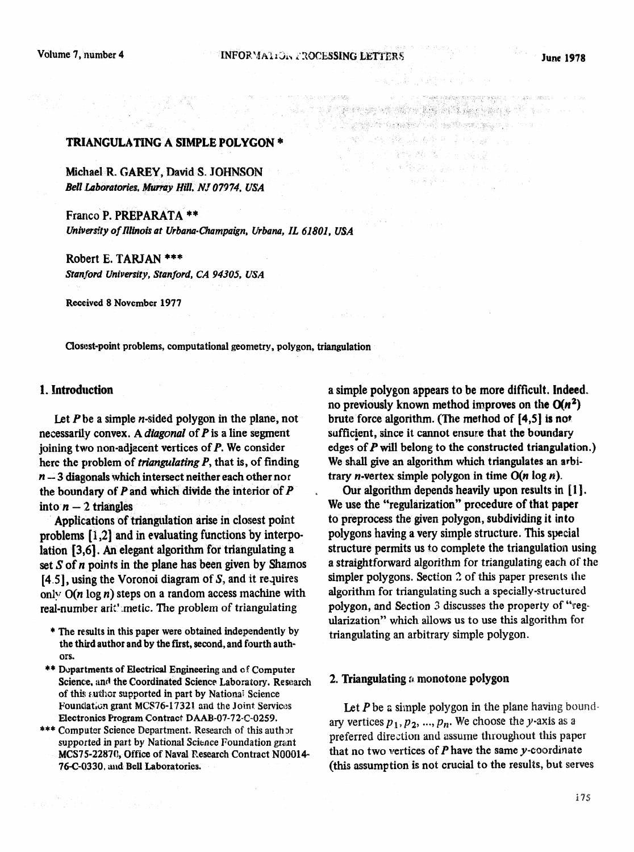THE REPORTED THE CONTROL

Designation of the second second second second second second second second second second second second second interioral (m. 1999) e constantia

# TRIANGULATING A SIMPLE POLYGON \*

Michael R. GAREY, David S. JOHNSON *Bell Laboratories, Murray Hill, NJ 07974, USA* 

**Frarlco P. PREPARATA \*\***  *University of Illinois at Urbana-Champaign, Urbana, IL 61801, USA* 

Robert E. TARJAN \*\*\* *Stan&oti University, Stanford, CA 94305, USA* 

**Received 8 November 1977** 

**Closest-point problems, computational geometry, polygon, triangulation** 

# 1. Introduction

Let  $P$  be a simple  $n$ -sided polygon in the plane, not necessarily convex. A *diagonal* of P is a line segment joining two non-adjacent vertices of  $P$ . We consider here the problem of *triangulating P,* that is, of finding  $n-3$  diagonals which intersect neither each other nor the boundary of  $P$  and which divide the interior of  $P$ into  $n - 2$  triangles

Applications of triangulation arise in closest point problems  $[i, 2]$  and in evaluating functions by interpolation [3,6]. An elegant algorithm for triangulating a set S of *n* points in the plane has been given by Shamos  $[4.5]$ , using the Voronoi diagram of S, and it requires only  $O(n \log n)$  steps on a random access machine with real-number arit' .metic. The problem of triangulating

- **\* The results in this paper were obtained independently by the third author and by the first, second, and fourth authors.**
- **\*\* Departments of Electrical Engineering and cf Computer Science. and the Coordinated Science Laboratory. Research of this suthor supported in part by National Science** Foundation grant MCS76-17321 and the Joint Services Electronics **program Contract DAAB-07-72-C-0259.**
- \*\*\* Computer Science Department. Research of this auth or supported in part by National Science Foundation grant *MCS75-2287Q* **Office of Naval Research Contract N00014- 76-C-0330, zuld Bell Laboratories.**

a simple polygon appears to be more difficult. Indeed. no previously known method improves on the  $O(n^2)$ brute force algorithm. (The method of [4,5] is not sufficient, since it cannot ensure that the **boundary**  edges of  $P$  will belong to the constructed triangulation.) We shall give an algorithm which triangulates an arbitrary *n*-vertex simple polygon in time  $O(n \log n)$ .

Our algorithm depends heavily upon results in  $[1]$ . We use the "regularization" procedure of that paper to preprocess the given polygon, subdividing it into polygons having a very simple structure. This special structure permits us to complete the triangulation usin a straightforward algorithm for triangulating each of the simpler polygons. Section  $2$  of this paper presents the algorithm for triangulating such a specially-structured polygon, and Section 3 discusses the property of "regularization" which allows us to use this algorithm for triangulating an arbitrary simple polygon.

#### 2. Triangulating  $a$  monotone polygon

Let  $P$  be a simple polygon in the plane having boundary vertices  $p_1, p_2, ..., p_n$ . We choose the y-axis as a preferred direction and assume throughout this paper that no two vertices of  $P$  have the same y-coordinate (this assumption is not crucial to the resu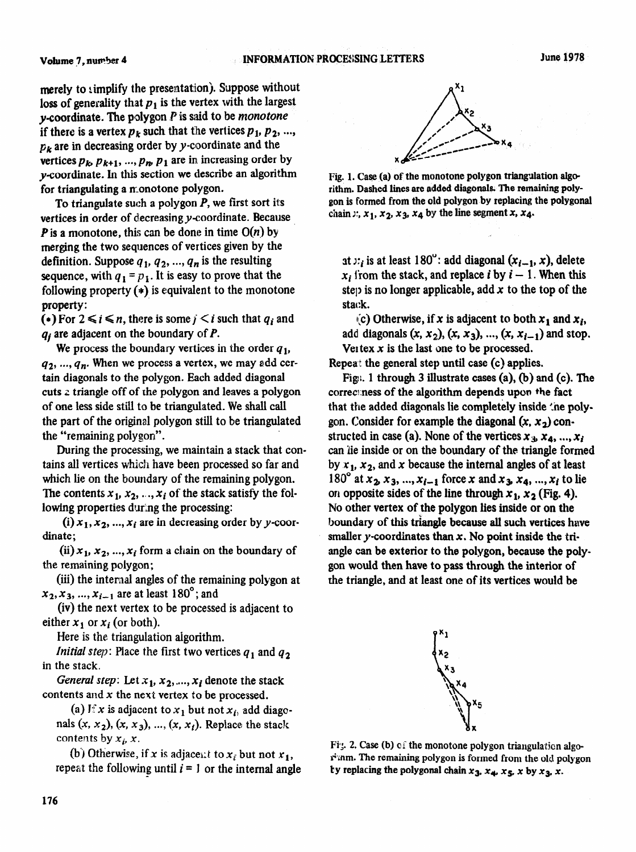merely to simplify the presentation). Suppose without loss of generality that  $p_1$  is the vertex with the largest **y-coordinate. The polygon P** is said to be *monotone* if there is a vertex  $p_k$  such that the vertices  $p_1, p_2, ...,$ *pk are in* decreasing order by y-coordinate and the vertices  $p_k$ ,  $p_{k+1}$ , ...,  $p_m$ ,  $p_1$  are in increasing order by y-coordinate. ln this section we describe an algorithm for triangulating a monotone polygon.

To triangulate such a polygon P, we first **sort** its **vertices** in order of decreasing y-coordinate, Because **P** is a monotone, this can be done in time  $O(n)$  by merging the two sequences of vertices given by the definition. Suppose  $q_1, q_2, ..., q_n$  is the resulting sequence, with  $q_1 = p_1$ . It is easy to prove that the following property  $(*)$  is equivalent to the monotone property:

(\*) For  $2 \le i \le n$ , there is some  $j \le i$  such that  $q_i$  and  $q_i$  are adjacent on the boundary of P.

We process the boundary vertices in the order  $q_1$ ,  $q_2, ..., q_n$ . When we process a vertex, we may add certain diagonals to the polygon. Each added diagonal cuts 2 triangle off of the polygon and leaves a polygon of one less side still to be triangulated. We shall call the part of the original polygon still to be triangulated the "remaining polygon".

During the processing, we maintain a stack that contains all vertices which have been processed so far and which lie on the boundary of the remaining polygon. The contents  $x_1, x_2, ..., x_i$  of the stack satisfy the following properties during the processing:

(i)  $x_1, x_2, ..., x_i$  are in decreasing order by y-coordinate;

 $(ii)$   $x_1, x_2, ..., x_i$  form a chain on the boundary of the remaining polygon;

(iii) the internal angles of the remaining polygon at  $x_2, x_3, ..., x_{i-1}$  are at least 180°; and

(iv) the next vertex to be processed is adjacent to either  $x_1$  or  $x_i$  (or both).

Here is the triangulation algorithm.

*Initial step:* Place the first two vertices  $q_1$  and  $q_2$ in the stack.

General step: Let  $x_1, x_2, ..., x_i$  denote the stack contents and x the next vertex to be processed.

(a) If x is adjacent to  $x_1$  but not  $x_i$ , add diagonals  $(x, x_2)$ ,  $(x, x_3)$ , ...,  $(x, x_i)$ . Replace the stack contents by  $x_i$ , x.

(b) Otherwise, if x is adjacent to  $x_i$  but not  $x_1$ , repeat the following until  $i = 1$  or the internal angle



Fig. 1. Case (a) of the monotone polygon triangulation algorithm. Dashed lines are added diagonals. The remaining poly**gon is formed from the old polygon by replacing the polygonal**  chain  $x$ ,  $x_1$ ,  $x_2$ ,  $x_3$ ,  $x_4$  by the line segment x,  $x_4$ .

at  $x_i$  is at least 180": add diagonal  $(x_{i-1}, x)$ , delete  $x_i$  from the stack, and replace *i* by  $i - 1$ . When this step is no longer applicable, add x to the top of the stack.

(c) Otherwise, if x is adjacent to both  $x_1$  and  $x_i$ , add diagonals  $(x, x_2), (x, x_3), ..., (x, x_{i-1})$  and stop. Vertex  $x$  is the last one to be processed.

Repeat the general step until case (c) applies.

Fig. 1 through 3 illustrate cases  $(a)$ ,  $(b)$  and  $(c)$ . The correctness of the algorithm depends upon the fact that the added diagonals lie completely inside the polygon. Consider for example the diagonal  $(x, x_2)$  constructed in case (a). None of the vertices  $x_3, x_4, ..., x_k$ can lie inside or on the boundary of the triangle formed by  $x_1$ ,  $x_2$ , and x because the internal angles of at least 180° at  $x_2, x_3, ..., x_{i-1}$  force x and  $x_3, x_4, ..., x_i$  to lie on opposite sides of the line through  $x_1, x_2$  (Fig. 4). No other vertex of the polygon lies inside or on the boundary of this triangle because all such vertices have smaller y-coordinates than  $x$ . No point inside the triangle can be exterior to the polygon, because the polygon would then have to pass through the interior of the triangle, and at least one of its vertices would be



**Fig;. 2. Case (b) ci' the monotone polygon triangulation algoknm. The remaining polygon is formed from the old polygon**  by replacing the polygonal chain  $x_3$ ,  $x_4$ ,  $x_5$ , x by  $x_3$ , x.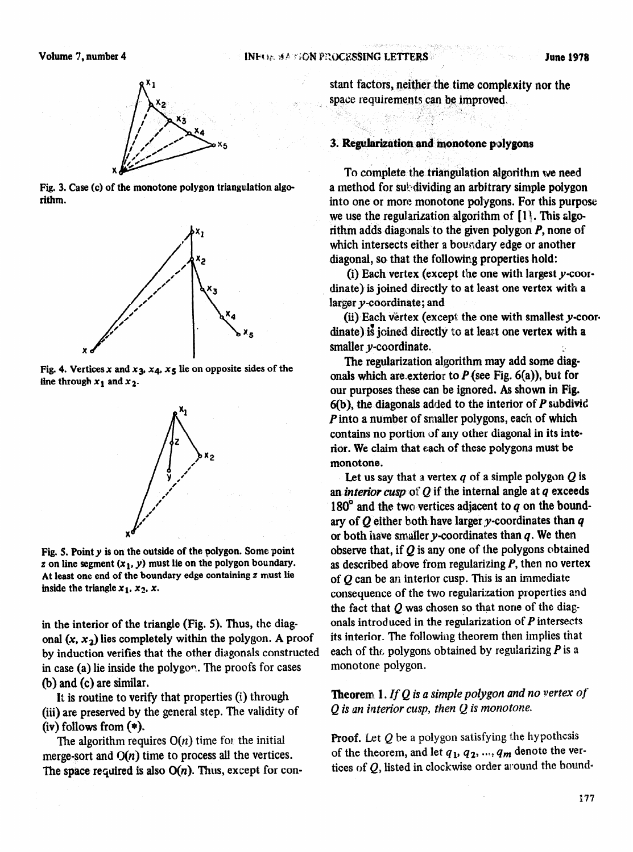





Fig. 4. Vertices x and  $x_3, x_4, x_5$  lie on opposite sides of the line through  $x_1$  and  $x_2$ .



**Fig. 5. Pointy is on the outside of the polygon. Some point**   $\boldsymbol{z}$  on line segment  $(\boldsymbol{x}_1, \boldsymbol{y})$  must lie on the polygon boundary. **At least one end of the boundary edge containing z must lie**  inside the triangle  $x_1$ ,  $x_2$ ,  $x_3$ .

in the interior of the triangle (Fig. 5). Thus, the diag onal  $(x, x_2)$  lies completely within the polygon. A proof by induction verifies that the other diagonals constructed in case (a) lie inside the polygon. The proofs for cases (b) and (c) are similar.

It is routine to verify that properties (i) through (iii) are preserved by the general step. The validity of  $(iv)$  follows from  $(*)$ .

The algorithm requires  $O(n)$  time for the initial merge-sort and  $O(n)$  time to process all the vertices. The space required is also  $O(n)$ . Thus, except for constant factors, neither the time complexity nor the space requirements can be improved,

### **3. Regularization and monotone polygons**

To complete the triangulation algorithm we **need**  a method for subilisting an arbitrary simple polygon into one or more monotone polygons. For this purpose we use the regularization algorithm of  $[1]$ . This algorithm adds diagonals to the given polygon P, none of which intersects either a boundary edge or another diagonal, so that the following properties hold:

(i) Each vertex (except the one with largest y-coordinate) is joined directly to at least one vertex with a larger y-coordinate; and

(ii) Each vertex (except the one with smallest y-coordinate) i8 joined directly to at least one vertex with **a**  smaller y-coordinate.

The regularization algorithm may add some diagonals which are exterior to  $P$  (see Fig. 6(a)), but for our purposes these can be ignored. As shown in Fig.  $6(b)$ , the diagonals added to the interior of P subdivid P into a number of smaller polygons, each of which contains no portion of any other diagonal in its interior. We claim that each of these polygons must be monotone.

Let us say that a vertex  $q$  of a simple polygon  $Q$  is an *interior cusp* of  $Q$  if the internal angle at  $q$  exceeds 180 $^{\circ}$  and the two vertices adjacent to  $q$  on the boundary of  $Q$  either both have larger y-coordinates than  $q$ or both have smaller  $y$ -coordinates than  $q$ . We then observe that, if  $Q$  is any one of the polygons obtained as described above from regularizing  $P$ , then no vertex of  $Q$  can be an interior cusp. This is an immediate consequence of the two regularization properties and the fact that  $Q$  was chosen so that none of the diagonals introduced in the regularization of  $P$  intersects its interior. The following theorem then implies that each of the polygons obtained by regularizing  $P$  is a monotone: polygon.

**Theorem 1. If Q is a simple polygon and no vertex of** Q *is an interior cusp, then Q is monotone.* 

**Proof.** Let  $Q$  be a polygon satisfying the hypothesis of the theorem, and let  $q_1, q_2, ..., q_m$  denote the vertices of  $Q$ , listed in clockwise order a cound the bound-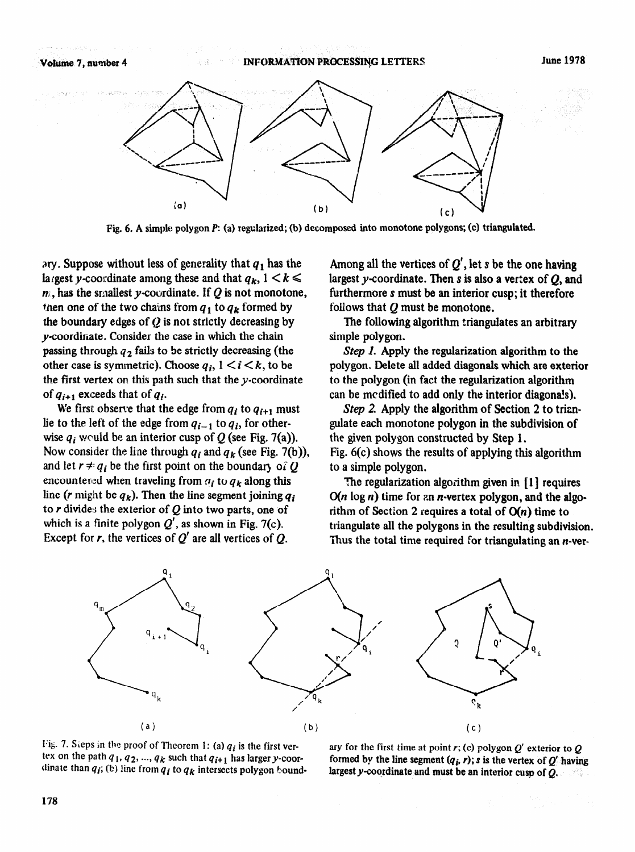

**Fig. 6.** A simple polygon P: (a) regularized; (b) decomposed into monotone polygons; (c) triangulated.

ary. Suppose without less of generality that  $q_1$  has the largest y-coordinate among these and that  $q_k$ ,  $1 \leq k \leq$  $m_i$ , has the smallest y-coordinate. If  $Q$  is not monotone, then one of the two chains from  $q_1$  to  $q_k$  formed by the boundary edges of  $Q$  is not strictly decreasing by y-coordinate. Consider the case in which the chain passing through  $q_2$  fails to be strictly decreasing (the other case is symmetric). Choose  $q_i$ ,  $1 \le i \le k$ , to be the first vertex on this path such that the y-coordinate of  $q_{i+1}$  exceeds that of  $q_i$ .

We first observe that the edge from  $q_i$  to  $q_{i+1}$  must lie to the left of the edge from  $q_{i-1}$  to  $q_i$ , for otherwise  $q_i$  would be an interior cusp of Q (see Fig. 7(a)). Now consider the line through  $q_i$  and  $q_k$  (see Fig. 7(b)), and let  $r \neq q_i$  be the first point on the boundary of Q encountered when traveling from  $q_i$  to  $q_k$  along this line (*r* might be  $q_k$ ). Then the line segment joining  $q_i$ to  $r$  divides the exterior of  $Q$  into two parts, one of which is a finite polygon  $Q'$ , as shown in Fig. 7(c). Except for r, the vertices of  $Q'$  are all vertices of  $Q$ .

Among all the vertices of  $Q'$ , let s be the one having largest y-coordinate. Then  $s$  is also a vertex of  $Q$ , and furthermore s must be an interior cusp; it therefore follows that Q must be monotone.

The following algorithm triangulates an arbitrary simple polygon.

Step 1. Apply the regularization algorithm to the polygon. Delete all added diagonals which are exterior to the pofygon (in fact the regularization algorithm can be mcdified to add only the interior diagona!s).

Step 2. Apply the algorithm of Section 2 to triangulate each monotone polygon in the subdivision of the given polygon constructed by Step 1. Fig. 6(c) shows the results of applying this algorithm to a simple polygon.

The regularization algorithm given in [1] requires  $O(n \log n)$  time for an *n*-vertex polygon, and the algorithm of Section 2 requires a total of  $O(n)$  time to triangulate all the polygons in the resulting subdivision. Thus the total time required for triangulating an *n*-ver-





ary for the first time at point r; (c) polygon  $Q'$  exterior to  $Q$ formed by the line segment  $(q_i, r)$ ; s is the vertex of  $Q'$  having largest y-coordinate and must be an interior cusp of  $Q$ .